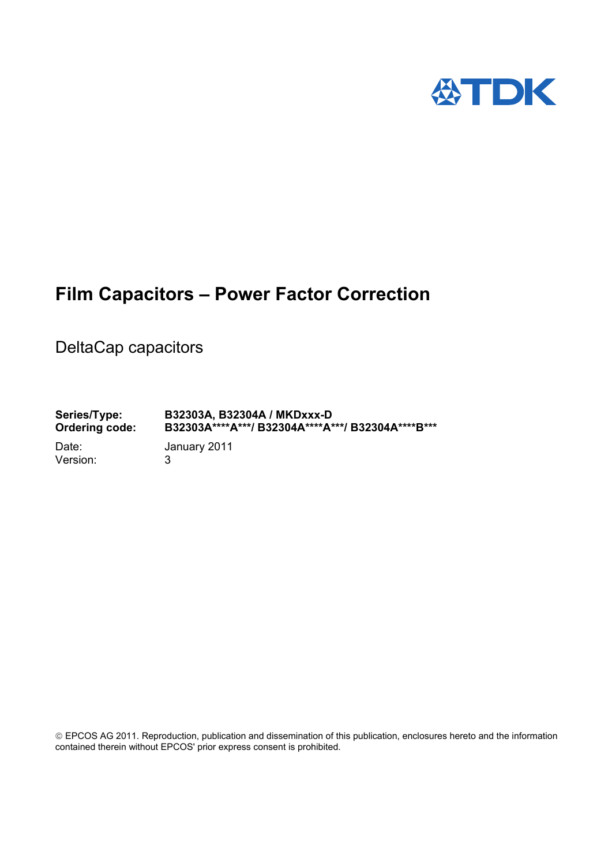

# **Film Capacitors – Power Factor Correction**

DeltaCap capacitors

**Series/Type: B32303A, B32304A / MKDxxx-D Ordering code: B32303A\*\*\*\*A\*\*\*/ B32304A\*\*\*\*A\*\*\*/ B32304A\*\*\*\*B\*\*\***  Date: January 2011 Version: 3

 EPCOS AG 2011. Reproduction, publication and dissemination of this publication, enclosures hereto and the information contained therein without EPCOS' prior express consent is prohibited.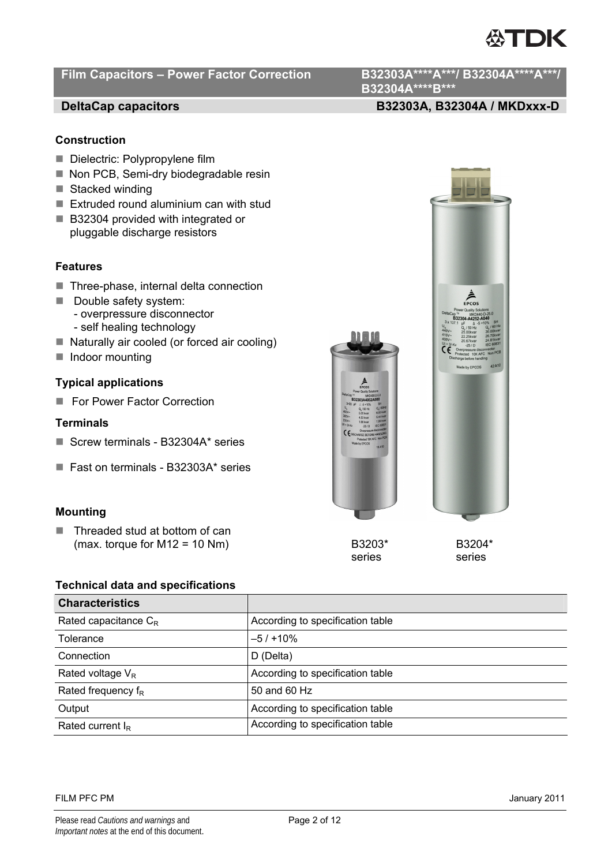# Film Capacitors - Power Factor Correction B32303A\*\*\*\*A\*\*\*/ B32304A\*\*\*\*A\*\*\*/

**B32304A\*\*\*\*B\*\*\*** 

# **DeltaCap capacitors B32303A, B32304A / MKDxxx-D**

# **Construction**

- Dielectric: Polypropylene film
- Non PCB, Semi-dry biodegradable resin
- $\blacksquare$  Stacked winding
- Extruded round aluminium can with stud
- B32304 provided with integrated or pluggable discharge resistors

# **Features**

- Three-phase, internal delta connection
- Double safety system: - overpressure disconnector
	- self healing technology
- Naturally air cooled (or forced air cooling)
- Indoor mounting

# **Typical applications**

For Power Factor Correction

## **Terminals**

- Screw terminals B32304A\* series
- Fast on terminals B32303A\* series

# **Mounting**

■ Threaded stud at bottom of can (max. torque for M12 = 10 Nm)  $B3203*$  B3204\*

# series series

# **Technical data and specifications**

| <b>Characteristics</b>  |                                  |
|-------------------------|----------------------------------|
| Rated capacitance $C_R$ | According to specification table |
| Tolerance               | $-5/110%$                        |
| Connection              | D (Delta)                        |
| Rated voltage $V_R$     | According to specification table |
| Rated frequency $f_R$   | 50 and 60 Hz                     |
| Output                  | According to specification table |
| Rated current $I_R$     | According to specification table |

FILM PFC PM January 2011



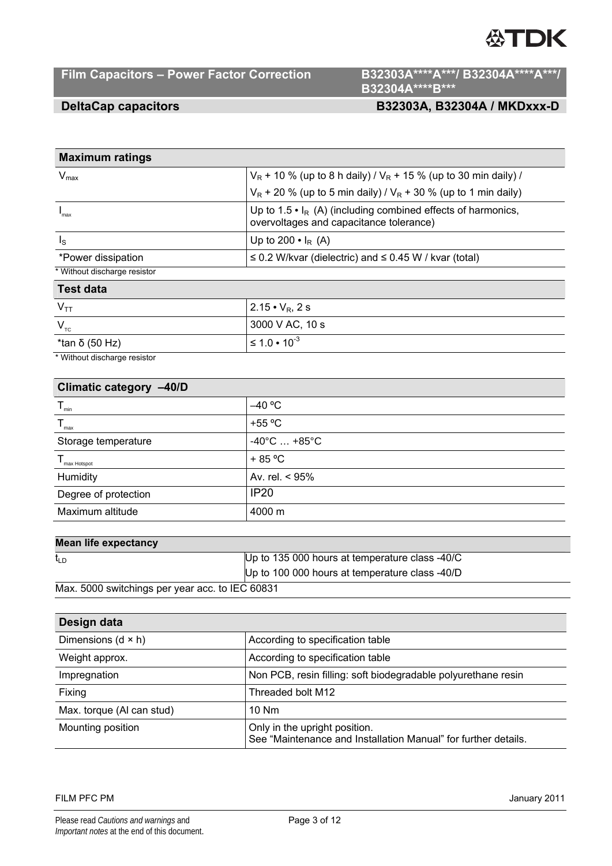# Film Capacitors - Power Factor Correction B32303A\*\*\*\*A\*\*\*/ B32304A\*\*\*\*A\*\*\*/

**B32304A\*\*\*\*B\*\*\*** 

# **DeltaCap capacitors B32303A, B32304A / MKDxxx-D**

| <b>Maximum ratings</b>       |                                                                                                                           |
|------------------------------|---------------------------------------------------------------------------------------------------------------------------|
| $V_{\text{max}}$             | $V_R$ + 10 % (up to 8 h daily) / $V_R$ + 15 % (up to 30 min daily) /                                                      |
|                              | $V_R$ + 20 % (up to 5 min daily) / $V_R$ + 30 % (up to 1 min daily)                                                       |
| 'max                         | Up to 1.5 $\cdot$ I <sub>R</sub> (A) (including combined effects of harmonics,<br>overvoltages and capacitance tolerance) |
| $\mathsf{I}_\mathsf{S}$      | Up to 200 $\bullet$ I <sub>R</sub> (A)                                                                                    |
| *Power dissipation           | $\leq$ 0.2 W/kvar (dielectric) and $\leq$ 0.45 W / kvar (total)                                                           |
| * Without discharge resistor |                                                                                                                           |
|                              |                                                                                                                           |

### **Test data**

| $V_{TT}$       | $2.15 \cdot V_R$ , 2 s   |
|----------------|--------------------------|
| $V_{\tau c}$   | 3000 V AC, 10 s          |
| *tan δ (50 Hz) | $\leq 1.0 \cdot 10^{-3}$ |

\* Without discharge resistor

| Climatic category -40/D |                                 |  |  |  |  |  |
|-------------------------|---------------------------------|--|--|--|--|--|
| $T_{\min}$              | $-40 °C$                        |  |  |  |  |  |
| $T_{\text{max}}$        | $+55^{\circ}$ C                 |  |  |  |  |  |
| Storage temperature     | $-40^{\circ}$ C $+85^{\circ}$ C |  |  |  |  |  |
| $T_{\text{max Host}}$   | $+85 °C$                        |  |  |  |  |  |
| Humidity                | Av. rel. < 95%                  |  |  |  |  |  |
| Degree of protection    | <b>IP20</b>                     |  |  |  |  |  |
| Maximum altitude        | 4000 m                          |  |  |  |  |  |

# **Mean life expectancy**

| t <sub>LD</sub>                                 | Up to 135 000 hours at temperature class -40/C |
|-------------------------------------------------|------------------------------------------------|
|                                                 | Up to 100 000 hours at temperature class -40/D |
| Max. 5000 switchings per year acc. to IEC 60831 |                                                |

| Design data               |                                                                                                 |
|---------------------------|-------------------------------------------------------------------------------------------------|
| Dimensions $(d \times h)$ | According to specification table                                                                |
| Weight approx.            | According to specification table                                                                |
| Impregnation              | Non PCB, resin filling: soft biodegradable polyurethane resin                                   |
| Fixing                    | Threaded bolt M12                                                                               |
| Max. torque (AI can stud) | 10 Nm                                                                                           |
| Mounting position         | Only in the upright position.<br>See "Maintenance and Installation Manual" for further details. |

## FILM PFC PM January 2011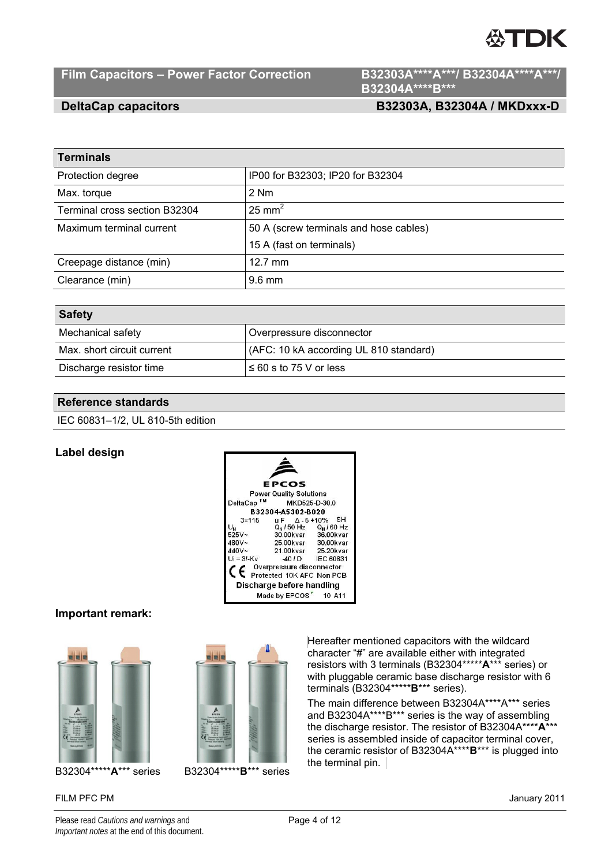# **ASTDK**

# Film Capacitors - Power Factor Correction B32303A\*\*\*\*A\*\*\*/ B32304A\*\*\*\*A\*\*\*/

**B32304A\*\*\*\*B\*\*\*** 

# **DeltaCap capacitors B32303A, B32304A / MKDxxx-D**

| <b>Terminals</b>              |                                        |
|-------------------------------|----------------------------------------|
| Protection degree             | IP00 for B32303; IP20 for B32304       |
| Max. torque                   | 2 Nm                                   |
| Terminal cross section B32304 | $25 \text{ mm}^2$                      |
| Maximum terminal current      | 50 A (screw terminals and hose cables) |
|                               | 15 A (fast on terminals)               |
| Creepage distance (min)       | $12.7 \text{ mm}$                      |
| Clearance (min)               | $9.6 \text{ mm}$                       |
|                               |                                        |

| <b>Safety</b>              |                                        |
|----------------------------|----------------------------------------|
| Mechanical safety          | Overpressure disconnector              |
| Max. short circuit current | (AFC: 10 kA according UL 810 standard) |
| Discharge resistor time    | $\leq 60$ s to 75 V or less            |

# **Reference standards**

IEC 60831–1/2, UL 810-5th edition

# **Label design**

|                                                                             | <b>EPCOS</b>                                                                                           |                             |
|-----------------------------------------------------------------------------|--------------------------------------------------------------------------------------------------------|-----------------------------|
|                                                                             | <b>Power Quality Solutions</b>                                                                         |                             |
| DeltaCap <sup>TM</sup>                                                      |                                                                                                        | MKD525-D-30.0               |
|                                                                             | B32304-A5302-B020                                                                                      |                             |
| $3\times 115$<br>U <sub>H</sub><br>525V~<br>480V~<br>$440V -$<br>Ui = 31-Kv | uF △-5+10% SH<br>30.00kvar 36.00kvar<br>25.00kvar 30.00kvar<br>21.00kvar 25.20kvar<br>40 / D IEC 60831 | $Q_H / 50$ Hz $Q_H / 60$ Hz |
|                                                                             | C Overpressure disconnector<br>C Protected 10K AFC Non PCB                                             |                             |
|                                                                             | Discharge before handling                                                                              |                             |
|                                                                             | Made by EPCOS <sup>"</sup> 10 A11                                                                      |                             |

# **Important remark:**





FILM PFC PM January 2011



Hereafter mentioned capacitors with the wildcard character "#" are available either with integrated resistors with 3 terminals (B32304\*\*\*\*\***A**\*\*\* series) or with pluggable ceramic base discharge resistor with 6 terminals (B32304\*\*\*\*\***B**\*\*\* series).

The main difference between B32304A\*\*\*\*A\*\*\* series and B32304A\*\*\*\*B\*\*\* series is the way of assembling the discharge resistor. The resistor of B32304A\*\*\*\***A**\*\*\* series is assembled inside of capacitor terminal cover, the ceramic resistor of B32304A\*\*\*\***B**\*\*\* is plugged into the terminal pin.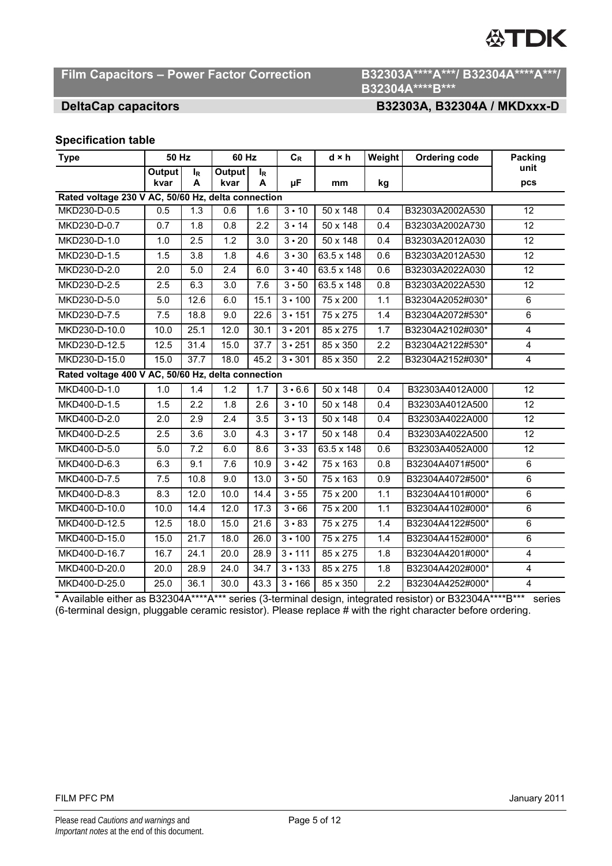# Film Capacitors - Power Factor Correction B32303A\*\*\*\*A\*\*\*/ B32304A\*\*\*\*A\*\*\*/

# **B32304A\*\*\*\*B\*\*\***

# **DeltaCap capacitors B32303A, B32304A / MKDxxx-D**

# **Specification table**

| <b>Type</b>                                        | <b>50 Hz</b>   |                     | 60 Hz            |                     | $C_R$                   | $d \times h$      | Weight | <b>Ordering code</b> | <b>Packing</b>  |  |
|----------------------------------------------------|----------------|---------------------|------------------|---------------------|-------------------------|-------------------|--------|----------------------|-----------------|--|
|                                                    | Output<br>kvar | l <sub>R</sub><br>A | Output<br>kvar   | l <sub>R</sub><br>A | μF                      | mm                | kg     |                      | unit<br>pcs     |  |
| Rated voltage 230 V AC, 50/60 Hz, delta connection |                |                     |                  |                     |                         |                   |        |                      |                 |  |
| MKD230-D-0.5                                       | 0.5            | $\overline{1.3}$    | 0.6              | 1.6                 | 3 • 10                  | 50 x 148          | 0.4    | B32303A2002A530      | 12              |  |
| MKD230-D-0.7                                       | 0.7            | 1.8                 | 0.8              | 2.2                 | $3 \cdot 14$            | 50 x 148          | 0.4    | B32303A2002A730      | 12              |  |
| MKD230-D-1.0                                       | 1.0            | 2.5                 | 1.2              | 3.0                 | $\overline{3} \cdot 20$ | 50 x 148          | 0.4    | B32303A2012A030      | 12              |  |
| MKD230-D-1.5                                       | 1.5            | 3.8                 | 1.8              | 4.6                 | 3 • 30                  | 63.5 x 148        | 0.6    | B32303A2012A530      | 12              |  |
| MKD230-D-2.0                                       | 2.0            | 5.0                 | $\overline{2.4}$ | 6.0                 | 3 • 40                  | $63.5 \times 148$ | 0.6    | B32303A2022A030      | $\overline{12}$ |  |
| MKD230-D-2.5                                       | 2.5            | 6.3                 | 3.0              | 7.6                 | 3 • 50                  | $63.5 \times 148$ | 0.8    | B32303A2022A530      | 12              |  |
| MKD230-D-5.0                                       | 5.0            | 12.6                | 6.0              | 15.1                | $3 \cdot 100$           | $75 \times 200$   | 1.1    | B32304A2052#030*     | 6               |  |
| MKD230-D-7.5                                       | 7.5            | 18.8                | 9.0              | 22.6                | $3 \cdot 151$           | 75 x 275          | 1.4    | B32304A2072#530*     | 6               |  |
| MKD230-D-10.0                                      | 10.0           | 25.1                | 12.0             | 30.1                | $3 \cdot 201$           | 85 x 275          | 1.7    | B32304A2102#030*     | $\overline{4}$  |  |
| MKD230-D-12.5                                      | 12.5           | 31.4                | 15.0             | 37.7                | $3 \cdot 251$           | 85 x 350          | 2.2    | B32304A2122#530*     | $\overline{4}$  |  |
| MKD230-D-15.0                                      | 15.0           | 37.7                | 18.0             | 45.2                | $3 \cdot 301$           | 85 x 350          | 2.2    | B32304A2152#030*     | $\overline{4}$  |  |
| Rated voltage 400 V AC, 50/60 Hz, delta connection |                |                     |                  |                     |                         |                   |        |                      |                 |  |
| MKD400-D-1.0                                       | 1.0            | 1.4                 | 1.2              | 1.7                 | $3 - 6.6$               | 50 x 148          | 0.4    | B32303A4012A000      | 12              |  |
| MKD400-D-1.5                                       | 1.5            | 2.2                 | 1.8              | 2.6                 | $3 \cdot 10$            | 50 x 148          | 0.4    | B32303A4012A500      | 12              |  |
| MKD400-D-2.0                                       | 2.0            | 2.9                 | 2.4              | 3.5                 | $3 \cdot 13$            | 50 x 148          | 0.4    | B32303A4022A000      | 12              |  |
| MKD400-D-2.5                                       | 2.5            | 3.6                 | 3.0              | 4.3                 | $3 \cdot 17$            | 50 x 148          | 0.4    | B32303A4022A500      | 12              |  |
| MKD400-D-5.0                                       | 5.0            | 7.2                 | 6.0              | 8.6                 | $3 - 33$                | 63.5 x 148        | 0.6    | B32303A4052A000      | 12              |  |
| MKD400-D-6.3                                       | 6.3            | 9.1                 | 7.6              | 10.9                | $3 \cdot 42$            | 75 x 163          | 0.8    | B32304A4071#500*     | 6               |  |
| MKD400-D-7.5                                       | 7.5            | 10.8                | 9.0              | 13.0                | 3 • 50                  | 75 x 163          | 0.9    | B32304A4072#500*     | $6\phantom{1}$  |  |
| MKD400-D-8.3                                       | 8.3            | 12.0                | 10.0             | 14.4                | $3 - 55$                | 75 x 200          | 1.1    | B32304A4101#000*     | 6               |  |
| MKD400-D-10.0                                      | 10.0           | 14.4                | 12.0             | 17.3                | $3 \cdot 66$            | 75 x 200          | 1.1    | B32304A4102#000*     | 6               |  |
| MKD400-D-12.5                                      | 12.5           | 18.0                | 15.0             | 21.6                | $3 - 83$                | 75 x 275          | 1.4    | B32304A4122#500*     | $\,6$           |  |
| MKD400-D-15.0                                      | 15.0           | 21.7                | 18.0             | 26.0                | $3 \cdot 100$           | 75 x 275          | 1.4    | B32304A4152#000*     | $\overline{6}$  |  |
| MKD400-D-16.7                                      | 16.7           | 24.1                | 20.0             | 28.9                | $3 \cdot 111$           | 85 x 275          | 1.8    | B32304A4201#000*     | $\overline{4}$  |  |
| MKD400-D-20.0                                      | 20.0           | 28.9                | 24.0             | 34.7                | $3 - 133$               | 85 x 275          | 1.8    | B32304A4202#000*     | 4               |  |
| MKD400-D-25.0                                      | 25.0           | 36.1                | 30.0             | 43.3                | 3 • 166                 | 85 x 350          | 2.2    | B32304A4252#000*     | $\overline{4}$  |  |

\* Available either as B32304A\*\*\*\*A\*\*\* series (3-terminal design, integrated resistor) or B32304A\*\*\*\*B\*\*\* series (6-terminal design, pluggable ceramic resistor). Please replace # with the right character before ordering.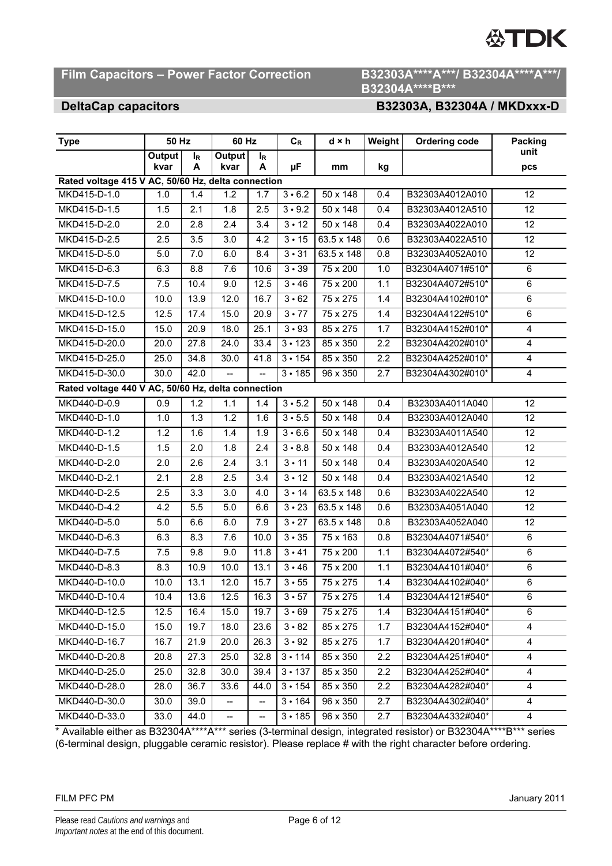# **Film Capacitors – Power Factor Correction B32303A\*\*\*\*A\*\*\*/ B32304A\*\*\*\*A\*\*\*/**

# **B32304A\*\*\*\*B\*\*\***

## **DeltaCap capacitors B32303A, B32304A / MKDxxx-D**

| <b>Type</b>                                        | 50 Hz          |            | 60 Hz                    |            | $C_R$                   | $d \times h$    | Weight | <b>Ordering code</b> | <b>Packing</b>  |  |
|----------------------------------------------------|----------------|------------|--------------------------|------------|-------------------------|-----------------|--------|----------------------|-----------------|--|
|                                                    | Output<br>kvar | $I_R$<br>A | Output<br>kvar           | $I_R$<br>A | μF                      | mm              | kg     |                      | unit<br>pcs     |  |
| Rated voltage 415 V AC, 50/60 Hz, delta connection |                |            |                          |            |                         |                 |        |                      |                 |  |
| MKD415-D-1.0                                       | 1.0            | 1.4        | 1.2                      | 1.7        | 3 • 6.2                 | $50 \times 148$ | 0.4    | B32303A4012A010      | 12              |  |
| MKD415-D-1.5                                       | 1.5            | 2.1        | 1.8                      | 2.5        | $3 - 9.2$               | 50 x 148        | 0.4    | B32303A4012A510      | 12              |  |
| MKD415-D-2.0                                       | 2.0            | 2.8        | 2.4                      | 3.4        | $3 \cdot 12$            | 50 x 148        | 0.4    | B32303A4022A010      | $\overline{12}$ |  |
| MKD415-D-2.5                                       | 2.5            | 3.5        | 3.0                      | 4.2        | $\overline{3} \cdot 15$ | 63.5 x 148      | 0.6    | B32303A4022A510      | $\overline{12}$ |  |
| MKD415-D-5.0                                       | 5.0            | 7.0        | 6.0                      | 8.4        | $3 \cdot 31$            | 63.5 x 148      | 0.8    | B32303A4052A010      | 12              |  |
| MKD415-D-6.3                                       | 6.3            | 8.8        | 7.6                      | 10.6       | 3 • 39                  | 75 x 200        | 1.0    | B32304A4071#510*     | 6               |  |
| MKD415-D-7.5                                       | 7.5            | 10.4       | 9.0                      | 12.5       | 3 • 46                  | 75 x 200        | 1.1    | B32304A4072#510*     | 6               |  |
| MKD415-D-10.0                                      | 10.0           | 13.9       | 12.0                     | 16.7       | 3 • 62                  | 75 x 275        | 1.4    | B32304A4102#010*     | 6               |  |
| MKD415-D-12.5                                      | 12.5           | 17.4       | 15.0                     | 20.9       | $\overline{3} \cdot 77$ | 75 x 275        | 1.4    | B32304A4122#510*     | 6               |  |
| MKD415-D-15.0                                      | 15.0           | 20.9       | 18.0                     | 25.1       | $3 \cdot 93$            | 85 x 275        | 1.7    | B32304A4152#010*     | 4               |  |
| MKD415-D-20.0                                      | 20.0           | 27.8       | 24.0                     | 33.4       | $3 \cdot 123$           | 85 x 350        | 2.2    | B32304A4202#010*     | 4               |  |
| MKD415-D-25.0                                      | 25.0           | 34.8       | 30.0                     | 41.8       | $3 \cdot 154$           | 85 x 350        | 2.2    | B32304A4252#010*     | 4               |  |
| MKD415-D-30.0                                      | 30.0           | 42.0       | $\overline{a}$           | ÷.         | 3 • 185                 | 96 x 350        | 2.7    | B32304A4302#010*     | $\overline{4}$  |  |
| Rated voltage 440 V AC, 50/60 Hz, delta connection |                |            |                          |            |                         |                 |        |                      |                 |  |
| MKD440-D-0.9                                       | 0.9            | 1.2        | 1.1                      | 1.4        | $3 \cdot 5.2$           | 50 x 148        | 0.4    | B32303A4011A040      | $\overline{12}$ |  |
| MKD440-D-1.0                                       | 1.0            | 1.3        | 1.2                      | 1.6        | 3 • 5.5                 | 50 x 148        | 0.4    | B32303A4012A040      | 12              |  |
| MKD440-D-1.2                                       | 1.2            | 1.6        | 1.4                      | 1.9        | 3 • 6.6                 | 50 x 148        | 0.4    | B32303A4011A540      | 12              |  |
| MKD440-D-1.5                                       | 1.5            | 2.0        | $\overline{1.8}$         | 2.4        | $3 \cdot 8.8$           | 50 x 148        | 0.4    | B32303A4012A540      | 12              |  |
| MKD440-D-2.0                                       | 2.0            | 2.6        | 2.4                      | 3.1        | $3 \cdot 11$            | 50 x 148        | 0.4    | B32303A4020A540      | 12              |  |
| MKD440-D-2.1                                       | 2.1            | 2.8        | 2.5                      | 3.4        | $3 \cdot 12$            | 50 x 148        | 0.4    | B32303A4021A540      | 12              |  |
| MKD440-D-2.5                                       | 2.5            | 3.3        | 3.0                      | 4.0        | $\overline{3} \cdot 14$ | 63.5 x 148      | 0.6    | B32303A4022A540      | 12              |  |
| MKD440-D-4.2                                       | 4.2            | 5.5        | 5.0                      | 6.6        | $3 \cdot 23$            | 63.5 x 148      | 0.6    | B32303A4051A040      | 12              |  |
| MKD440-D-5.0                                       | 5.0            | 6.6        | 6.0                      | 7.9        | $3 \cdot 27$            | 63.5 x 148      | 0.8    | B32303A4052A040      | 12              |  |
| MKD440-D-6.3                                       | 6.3            | 8.3        | 7.6                      | 10.0       | 3 • 35                  | 75 x 163        | 0.8    | B32304A4071#540*     | 6               |  |
| MKD440-D-7.5                                       | 7.5            | 9.8        | $\overline{9.0}$         | 11.8       | $3 - 41$                | 75 x 200        | 1.1    | B32304A4072#540*     | 6               |  |
| MKD440-D-8.3                                       | 8.3            | 10.9       | 10.0                     | 13.1       | 3 • 46                  | 75 x 200        | 1.1    | B32304A4101#040*     | 6               |  |
| MKD440-D-10.0                                      | 10.0           | 13.1       | 12.0                     | 15.7       | 3 • 55                  | 75 x 275        | 1.4    | B32304A4102#040*     | $\overline{6}$  |  |
| MKD440-D-10.4                                      | 10.4           | 13.6       | 12.5                     | 16.3       | $3 \cdot 57$            | 75 x 275        | 1.4    | B32304A4121#540*     | 6               |  |
| MKD440-D-12.5                                      | 12.5           | 16.4       | 15.0                     | 19.7       | 3 • 69                  | 75 x 275        | 1.4    | B32304A4151#040*     | 6               |  |
| MKD440-D-15.0                                      | 15.0           | 19.7       | 18.0                     | 23.6       | 3 • 82                  | 85 x 275        | 1.7    | B32304A4152#040*     | $\overline{4}$  |  |
| MKD440-D-16.7                                      | 16.7           | 21.9       | 20.0                     | 26.3       | $3 \cdot 92$            | 85 x 275        | 1.7    | B32304A4201#040*     | 4               |  |
| MKD440-D-20.8                                      | 20.8           | 27.3       | 25.0                     | 32.8       | $3 \cdot 114$           | 85 x 350        | 2.2    | B32304A4251#040*     | $\overline{4}$  |  |
| MKD440-D-25.0                                      | 25.0           | 32.8       | 30.0                     | 39.4       | $3 \cdot 137$           | 85 x 350        | 2.2    | B32304A4252#040*     | $\overline{4}$  |  |
| MKD440-D-28.0                                      | 28.0           | 36.7       | 33.6                     | 44.0       | $3 \cdot 154$           | 85 x 350        | 2.2    | B32304A4282#040*     | 4               |  |
| MKD440-D-30.0                                      | 30.0           | 39.0       |                          |            | 3 • 164                 | 96 x 350        | 2.7    | B32304A4302#040*     | 4               |  |
| MKD440-D-33.0                                      | 33.0           | 44.0       | $\overline{\phantom{a}}$ | --         | $3 - 185$               | 96 x 350        | 2.7    | B32304A4332#040*     | 4               |  |

\* Available either as B32304A\*\*\*\*A\*\*\* series (3-terminal design, integrated resistor) or B32304A\*\*\*\*B\*\*\* series (6-terminal design, pluggable ceramic resistor). Please replace # with the right character before ordering.

### FILM PFC PM January 2011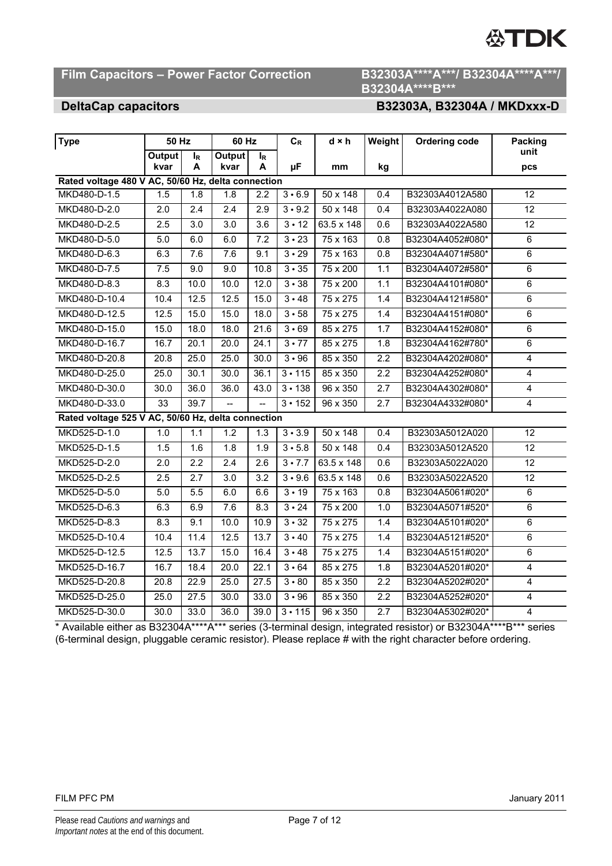# Film Capacitors - Power Factor Correction B32303A\*\*\*\*A\*\*\*/ B32304A\*\*\*\*A\*\*\*/

# **B32304A\*\*\*\*B\*\*\***

# **DeltaCap capacitors B32303A, B32304A / MKDxxx-D**

| <b>Type</b>                                                        | <b>50 Hz</b> |                  | 60 Hz            |                   | $C_R$         | d × h           | Weight           | <b>Ordering code</b> | <b>Packing</b>  |
|--------------------------------------------------------------------|--------------|------------------|------------------|-------------------|---------------|-----------------|------------------|----------------------|-----------------|
|                                                                    | Output       | $I_R$            | Output           | $I_R$             |               |                 |                  |                      | unit            |
|                                                                    | kvar         | A                | kvar             | A                 | μF            | mm              | kg               |                      | pcs             |
| Rated voltage 480 V AC, 50/60 Hz, delta connection<br>MKD480-D-1.5 | 1.5          | 1.8              | $\overline{1.8}$ | 2.2               | $3 \cdot 6.9$ | 50 x 148        | 0.4              | B32303A4012A580      | 12              |
|                                                                    |              |                  | $\overline{2.4}$ |                   |               |                 |                  |                      | $\overline{12}$ |
| MKD480-D-2.0                                                       | 2.0          | 2.4              |                  | 2.9               | $3 - 9.2$     | 50 x 148        | 0.4              | B32303A4022A080      | $\overline{12}$ |
| MKD480-D-2.5                                                       | 2.5          | $\overline{3.0}$ | $\overline{3.0}$ | $\overline{3.6}$  | $3 \cdot 12$  | 63.5 x 148      | 0.6              | B32303A4022A580      |                 |
| MKD480-D-5.0                                                       | 5.0          | 6.0              | 6.0              | 7.2               | $3 \cdot 23$  | 75 x 163        | 0.8              | B32304A4052#080*     | $\overline{6}$  |
| MKD480-D-6.3                                                       | 6.3          | 7.6              | 7.6              | 9.1               | $3 \cdot 29$  | 75 x 163        | 0.8              | B32304A4071#580*     | 6               |
| MKD480-D-7.5                                                       | 7.5          | 9.0              | 9.0              | 10.8              | $3 \cdot 35$  | 75 x 200        | 1.1              | B32304A4072#580*     | $\overline{6}$  |
| MKD480-D-8.3                                                       | 8.3          | 10.0             | 10.0             | 12.0              | 3 • 38        | 75 x 200        | 1.1              | B32304A4101#080*     | 6               |
| MKD480-D-10.4                                                      | 10.4         | 12.5             | 12.5             | 15.0              | $3 \cdot 48$  | 75 x 275        | 1.4              | B32304A4121#580*     | 6               |
| MKD480-D-12.5                                                      | 12.5         | 15.0             | 15.0             | 18.0              | $3 \cdot 58$  | 75 x 275        | 1.4              | B32304A4151#080*     | 6               |
| MKD480-D-15.0                                                      | 15.0         | 18.0             | 18.0             | $\overline{21.6}$ | $3 \cdot 69$  | 85 x 275        | 1.7              | B32304A4152#080*     | 6               |
| MKD480-D-16.7                                                      | 16.7         | 20.1             | 20.0             | 24.1              | $3 \cdot 77$  | 85 x 275        | 1.8              | B32304A4162#780*     | 6               |
| MKD480-D-20.8                                                      | 20.8         | 25.0             | 25.0             | 30.0              | 3 • 96        | 85 x 350        | 2.2              | B32304A4202#080*     | 4               |
| MKD480-D-25.0                                                      | 25.0         | 30.1             | 30.0             | 36.1              | $3 - 115$     | 85 x 350        | 2.2              | B32304A4252#080*     | 4               |
| MKD480-D-30.0                                                      | 30.0         | 36.0             | 36.0             | 43.0              | $3 - 138$     | 96 x 350        | 2.7              | B32304A4302#080*     | 4               |
| MKD480-D-33.0                                                      | 33           | 39.7             |                  |                   | $3 \cdot 152$ | 96 x 350        | 2.7              | B32304A4332#080*     | $\overline{4}$  |
| Rated voltage 525 V AC, 50/60 Hz, delta connection                 |              |                  |                  |                   |               |                 |                  |                      |                 |
| MKD525-D-1.0                                                       | 1.0          | 1.1              | 1.2              | $\overline{1.3}$  | $3 \cdot 3.9$ | $50 \times 148$ | 0.4              | B32303A5012A020      | 12              |
| MKD525-D-1.5                                                       | 1.5          | 1.6              | $\overline{1.8}$ | 1.9               | $3 \cdot 5.8$ | $50 \times 148$ | 0.4              | B32303A5012A520      | $\overline{12}$ |
| MKD525-D-2.0                                                       | 2.0          | 2.2              | 2.4              | 2.6               | $3 \cdot 7.7$ | 63.5 x 148      | 0.6              | B32303A5022A020      | 12              |
| MKD525-D-2.5                                                       | 2.5          | 2.7              | 3.0              | 3.2               | $3 \cdot 9.6$ | 63.5 x 148      | 0.6              | B32303A5022A520      | 12              |
| MKD525-D-5.0                                                       | 5.0          | 5.5              | 6.0              | 6.6               | $3 \cdot 19$  | 75 x 163        | 0.8              | B32304A5061#020*     | 6               |
| MKD525-D-6.3                                                       | 6.3          | 6.9              | 7.6              | 8.3               | $3 \cdot 24$  | 75 x 200        | 1.0              | B32304A5071#520*     | $\overline{6}$  |
| MKD525-D-8.3                                                       | 8.3          | 9.1              | 10.0             | 10.9              | $3 \cdot 32$  | 75 x 275        | 1.4              | B32304A5101#020*     | 6               |
| MKD525-D-10.4                                                      | 10.4         | 11.4             | 12.5             | 13.7              | 3 • 40        | 75 x 275        | 1.4              | B32304A5121#520*     | 6               |
| MKD525-D-12.5                                                      | 12.5         | 13.7             | 15.0             | 16.4              | $3 \cdot 48$  | 75 x 275        | 1.4              | B32304A5151#020*     | $\overline{6}$  |
| MKD525-D-16.7                                                      | 16.7         | 18.4             | 20.0             | 22.1              | $3 \cdot 64$  | 85 x 275        | 1.8              | B32304A5201#020*     | 4               |
| MKD525-D-20.8                                                      | 20.8         | 22.9             | 25.0             | 27.5              | $3 - 80$      | 85 x 350        | 2.2              | B32304A5202#020*     | 4               |
| MKD525-D-25.0                                                      | 25.0         | 27.5             | 30.0             | 33.0              | 3 • 96        | 85 x 350        | $\overline{2.2}$ | B32304A5252#020*     | 4               |
| MKD525-D-30.0                                                      | 30.0         | 33.0             | 36.0             | 39.0              | $3 - 115$     | 96 x 350        | 2.7              | B32304A5302#020*     | 4               |

\* Available either as B32304A\*\*\*\*A\*\*\* series (3-terminal design, integrated resistor) or B32304A\*\*\*\*B\*\*\* series (6-terminal design, pluggable ceramic resistor). Please replace # with the right character before ordering.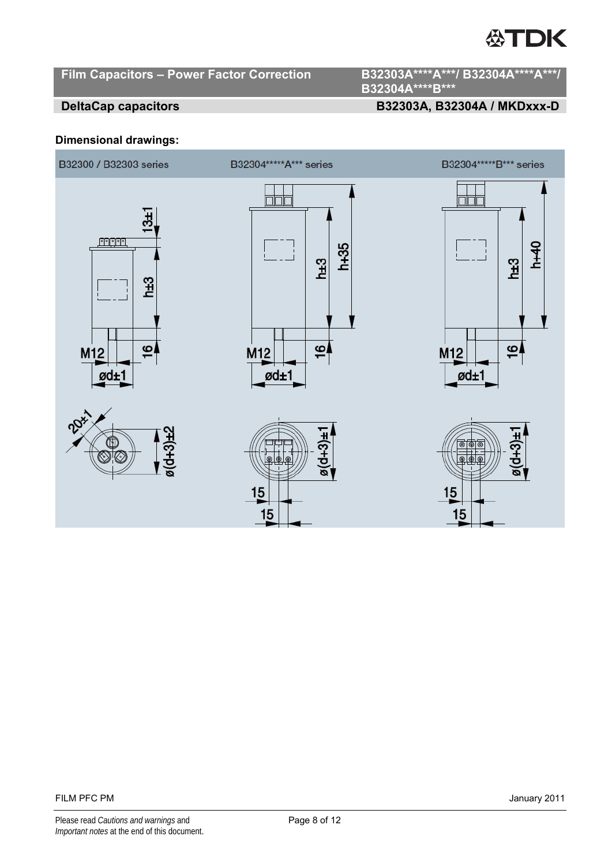# Film Capacitors - Power Factor Correction B32303A\*\*\*\*A\*\*\*/ B32304A\*\*\*\*A\*\*\*/

**B32304A\*\*\*\*B\*\*\*** 

# **DeltaCap capacitors B32303A, B32304A / MKDxxx-D**

## **Dimensional drawings:**

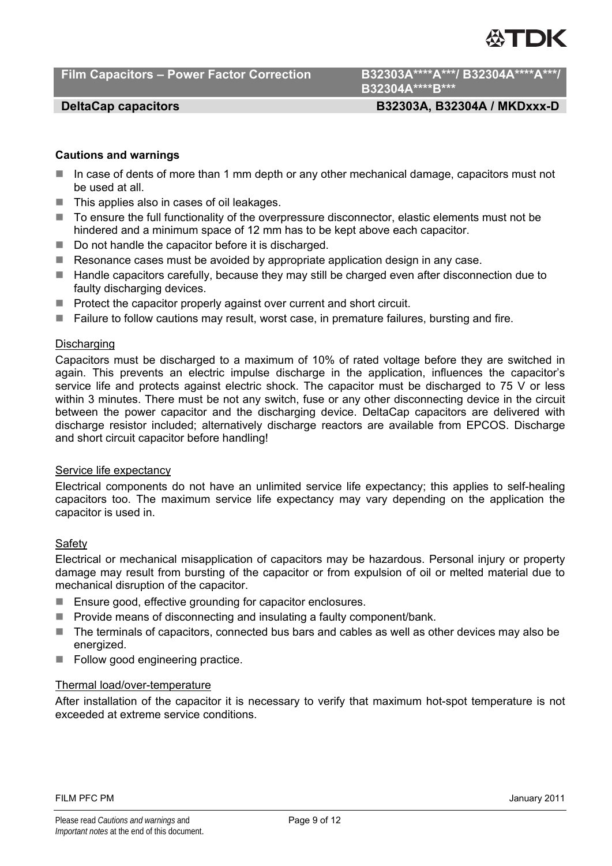Film Capacitors - Power Factor Correction B32303A\*\*\*\*A\*\*\*/ B32304A\*\*\*\*A\*\*\*/

**B32304A\*\*\*\*B\*\*\*** 

# **DeltaCap capacitors B32303A, B32304A / MKDxxx-D**

## **Cautions and warnings**

- In case of dents of more than 1 mm depth or any other mechanical damage, capacitors must not be used at all.
- $\blacksquare$  This applies also in cases of oil leakages.
- To ensure the full functionality of the overpressure disconnector, elastic elements must not be hindered and a minimum space of 12 mm has to be kept above each capacitor.
- Do not handle the capacitor before it is discharged.
- Resonance cases must be avoided by appropriate application design in any case.
- Handle capacitors carefully, because they may still be charged even after disconnection due to faulty discharging devices.
- **Protect the capacitor properly against over current and short circuit.**
- Failure to follow cautions may result, worst case, in premature failures, bursting and fire.

### **Discharging**

Capacitors must be discharged to a maximum of 10% of rated voltage before they are switched in again. This prevents an electric impulse discharge in the application, influences the capacitor's service life and protects against electric shock. The capacitor must be discharged to 75 V or less within 3 minutes. There must be not any switch, fuse or any other disconnecting device in the circuit between the power capacitor and the discharging device. DeltaCap capacitors are delivered with discharge resistor included; alternatively discharge reactors are available from EPCOS. Discharge and short circuit capacitor before handling!

### Service life expectancy

Electrical components do not have an unlimited service life expectancy; this applies to self-healing capacitors too. The maximum service life expectancy may vary depending on the application the capacitor is used in.

### Safety

Electrical or mechanical misapplication of capacitors may be hazardous. Personal injury or property damage may result from bursting of the capacitor or from expulsion of oil or melted material due to mechanical disruption of the capacitor.

- Ensure good, effective grounding for capacitor enclosures.
- $\blacksquare$  Provide means of disconnecting and insulating a faulty component/bank.
- The terminals of capacitors, connected bus bars and cables as well as other devices may also be energized.
- Follow good engineering practice.

# Thermal load/over-temperature

After installation of the capacitor it is necessary to verify that maximum hot-spot temperature is not exceeded at extreme service conditions.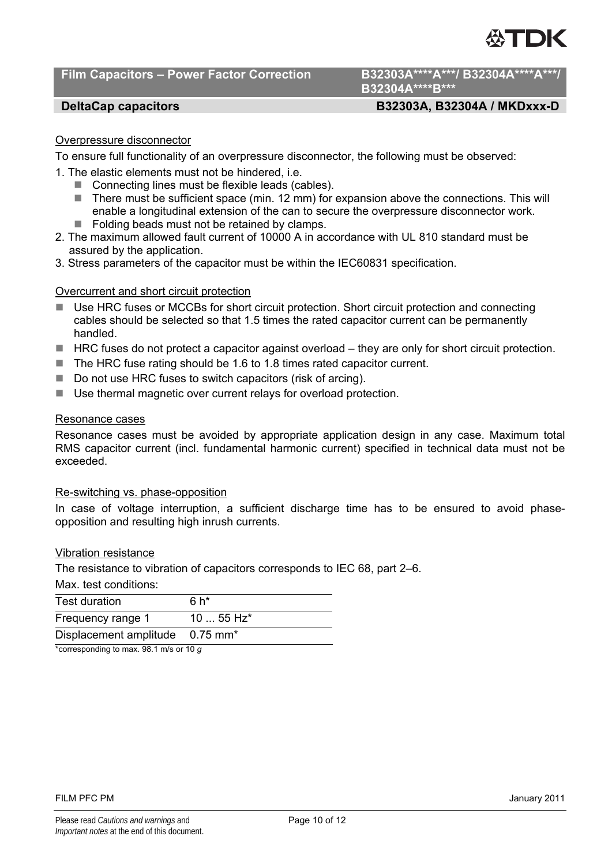# **Film Capacitors – Power Factor Correction B32303A\*\*\*\*A\*\*\*/ B32304A\*\*\*\*A\*\*\*/**

# **B32304A\*\*\*\*B\*\*\***

# **DeltaCap capacitors B32303A, B32304A / MKDxxx-D**

# Overpressure disconnector

To ensure full functionality of an overpressure disconnector, the following must be observed:

- 1. The elastic elements must not be hindered, i.e.
	- Connecting lines must be flexible leads (cables).
	- There must be sufficient space (min. 12 mm) for expansion above the connections. This will enable a longitudinal extension of the can to secure the overpressure disconnector work.
	- $\blacksquare$  Folding beads must not be retained by clamps.
- 2. The maximum allowed fault current of 10000 A in accordance with UL 810 standard must be assured by the application.
- 3. Stress parameters of the capacitor must be within the IEC60831 specification.

### Overcurrent and short circuit protection

- Use HRC fuses or MCCBs for short circuit protection. Short circuit protection and connecting cables should be selected so that 1.5 times the rated capacitor current can be permanently handled.
- $\blacksquare$  HRC fuses do not protect a capacitor against overload  $-$  they are only for short circuit protection.
- $\blacksquare$  The HRC fuse rating should be 1.6 to 1.8 times rated capacitor current.
- Do not use HRC fuses to switch capacitors (risk of arcing).
- Use thermal magnetic over current relays for overload protection.

### Resonance cases

Resonance cases must be avoided by appropriate application design in any case. Maximum total RMS capacitor current (incl. fundamental harmonic current) specified in technical data must not be exceeded.

### Re-switching vs. phase-opposition

In case of voltage interruption, a sufficient discharge time has to be ensured to avoid phaseopposition and resulting high inrush currents.

### Vibration resistance

The resistance to vibration of capacitors corresponds to IEC 68, part 2–6.

Max. test conditions:

| <b>Test duration</b>                             | 6 h*                   |
|--------------------------------------------------|------------------------|
| Frequency range 1                                | $1055$ Hz <sup>*</sup> |
| Displacement amplitude 0.75 mm <sup>*</sup>      |                        |
| $*$ escreenanding to may 00.1 m/s as 10 $\alpha$ |                        |

\*corresponding to max. 98.1 m/s or 10 *g*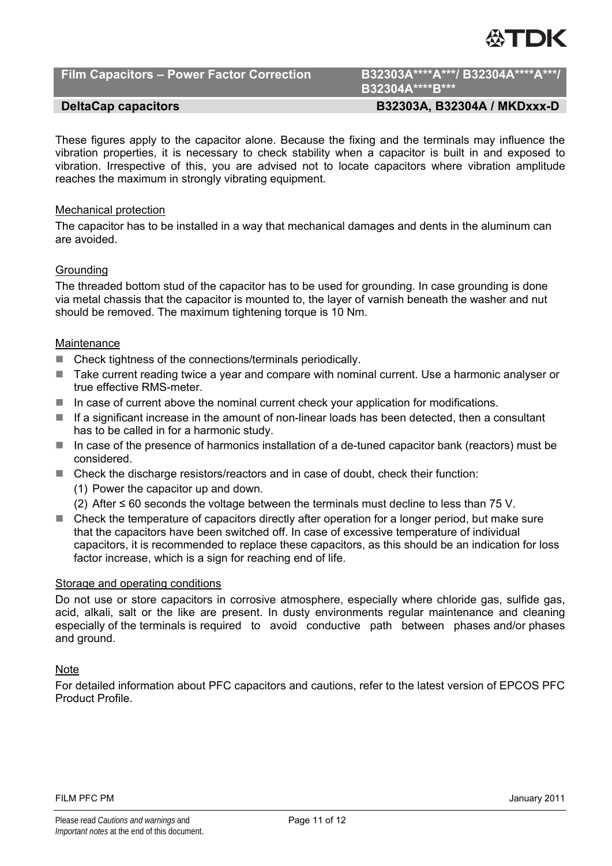

Film Capacitors - Power Factor Correction B32303A\*\*\*\*A\*\*\*/ B32304A\*\*\*\*A\*\*\*/

**B32304A\*\*\*\*B\*\*\*** 

# **DeltaCap capacitors B32303A, B32304A / MKDxxx-D**

These figures apply to the capacitor alone. Because the fixing and the terminals may influence the vibration properties, it is necessary to check stability when a capacitor is built in and exposed to vibration. Irrespective of this, you are advised not to locate capacitors where vibration amplitude reaches the maximum in strongly vibrating equipment.

### Mechanical protection

The capacitor has to be installed in a way that mechanical damages and dents in the aluminum can are avoided.

# Grounding

The threaded bottom stud of the capacitor has to be used for grounding. In case grounding is done via metal chassis that the capacitor is mounted to, the layer of varnish beneath the washer and nut should be removed. The maximum tightening torque is 10 Nm.

## **Maintenance**

- Check tightness of the connections/terminals periodically.
- Take current reading twice a year and compare with nominal current. Use a harmonic analyser or true effective RMS-meter.
- $\blacksquare$  In case of current above the nominal current check your application for modifications.
- $\blacksquare$  If a significant increase in the amount of non-linear loads has been detected, then a consultant has to be called in for a harmonic study.
- In case of the presence of harmonics installation of a de-tuned capacitor bank (reactors) must be considered.
- Check the discharge resistors/reactors and in case of doubt, check their function:
	- (1) Power the capacitor up and down.
	- (2) After ≤ 60 seconds the voltage between the terminals must decline to less than 75 V.
- Check the temperature of capacitors directly after operation for a longer period, but make sure that the capacitors have been switched off. In case of excessive temperature of individual capacitors, it is recommended to replace these capacitors, as this should be an indication for loss factor increase, which is a sign for reaching end of life.

### Storage and operating conditions

Do not use or store capacitors in corrosive atmosphere, especially where chloride gas, sulfide gas, acid, alkali, salt or the like are present. In dusty environments regular maintenance and cleaning especially of the terminals is required to avoid conductive path between phases and/or phases and ground.

## Note

For detailed information about PFC capacitors and cautions, refer to the latest version of EPCOS PFC Product Profile.